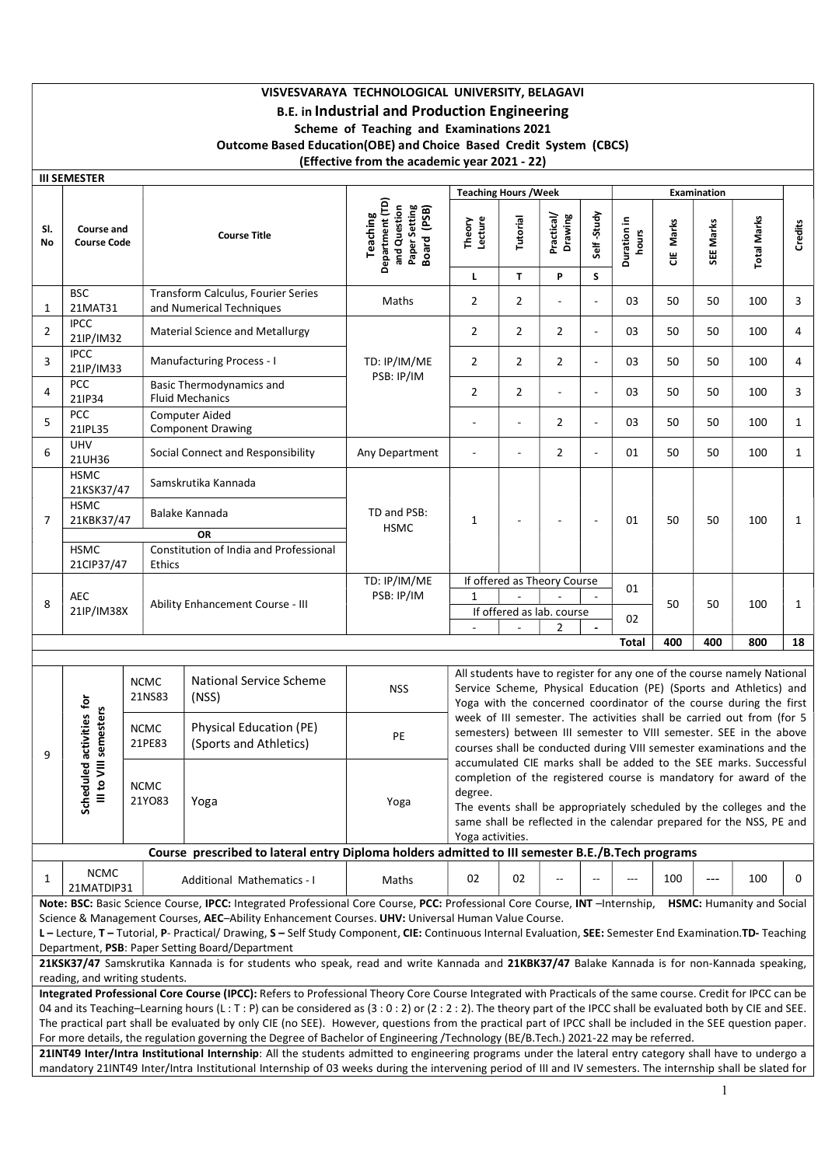# VISVESVARAYA TECHNOLOGICAL UNIVERSITY, BELAGAVI B.E. in Industrial and Production Engineering Scheme of Teaching and Examinations 2021 Outcome Based Education(OBE) and Choice Based Credit System (CBCS) (Effective from the academic year 2021 - 22)

|                | <b>III SEMESTER</b>                                                                                                                                                                                                                                                                                       |                       |                                                                                                                                                                                                                                                                                                                                                                                                                                                                                                                                                                                                    |                                                                                    |                              |                                                                                                                                                                                                                                                                                                           |                       |                          |                                                                                                                                                                                                                     |           |                    |                                  |              |  |
|----------------|-----------------------------------------------------------------------------------------------------------------------------------------------------------------------------------------------------------------------------------------------------------------------------------------------------------|-----------------------|----------------------------------------------------------------------------------------------------------------------------------------------------------------------------------------------------------------------------------------------------------------------------------------------------------------------------------------------------------------------------------------------------------------------------------------------------------------------------------------------------------------------------------------------------------------------------------------------------|------------------------------------------------------------------------------------|------------------------------|-----------------------------------------------------------------------------------------------------------------------------------------------------------------------------------------------------------------------------------------------------------------------------------------------------------|-----------------------|--------------------------|---------------------------------------------------------------------------------------------------------------------------------------------------------------------------------------------------------------------|-----------|--------------------|----------------------------------|--------------|--|
|                |                                                                                                                                                                                                                                                                                                           |                       |                                                                                                                                                                                                                                                                                                                                                                                                                                                                                                                                                                                                    |                                                                                    | <b>Teaching Hours / Week</b> |                                                                                                                                                                                                                                                                                                           |                       |                          |                                                                                                                                                                                                                     |           | <b>Examination</b> |                                  |              |  |
| SI.<br>No      | Course and<br><b>Course Code</b>                                                                                                                                                                                                                                                                          |                       | <b>Course Title</b>                                                                                                                                                                                                                                                                                                                                                                                                                                                                                                                                                                                | Department (TD)<br>and Question<br>Paper Setting<br>Board (PSB)<br><b>Teaching</b> | Theory<br>Lecture            | Tutorial                                                                                                                                                                                                                                                                                                  | Practical/<br>Drawing | Self-Study               | Duration in<br>hours                                                                                                                                                                                                | CIE Marks | SEE Marks          | <b>Total Marks</b>               | Credits      |  |
|                |                                                                                                                                                                                                                                                                                                           |                       |                                                                                                                                                                                                                                                                                                                                                                                                                                                                                                                                                                                                    |                                                                                    | L                            | $\mathbf{T}$                                                                                                                                                                                                                                                                                              | P                     | S                        |                                                                                                                                                                                                                     |           |                    |                                  |              |  |
| $\mathbf{1}$   | <b>BSC</b><br>21MAT31                                                                                                                                                                                                                                                                                     |                       | Transform Calculus, Fourier Series<br>and Numerical Techniques                                                                                                                                                                                                                                                                                                                                                                                                                                                                                                                                     | Maths                                                                              | $\overline{2}$               | $\overline{2}$                                                                                                                                                                                                                                                                                            |                       | $\overline{a}$           | 03                                                                                                                                                                                                                  | 50        | 50                 | 100                              | 3            |  |
| $\overline{2}$ | <b>IPCC</b><br>21IP/IM32                                                                                                                                                                                                                                                                                  |                       | <b>Material Science and Metallurgy</b>                                                                                                                                                                                                                                                                                                                                                                                                                                                                                                                                                             |                                                                                    | $\overline{2}$               | $\overline{2}$                                                                                                                                                                                                                                                                                            | 2                     | $\overline{\phantom{a}}$ | 03                                                                                                                                                                                                                  | 50        | 50                 | 100                              | 4            |  |
| 3              | <b>IPCC</b><br>21IP/IM33                                                                                                                                                                                                                                                                                  |                       | Manufacturing Process - I                                                                                                                                                                                                                                                                                                                                                                                                                                                                                                                                                                          | TD: IP/IM/ME<br>PSB: IP/IM                                                         | $\overline{2}$               | $\overline{2}$                                                                                                                                                                                                                                                                                            | 2                     | $\overline{\phantom{a}}$ | 03                                                                                                                                                                                                                  | 50        | 50                 | 100                              | 4            |  |
| 4              | PCC<br>21IP34                                                                                                                                                                                                                                                                                             |                       | Basic Thermodynamics and<br><b>Fluid Mechanics</b>                                                                                                                                                                                                                                                                                                                                                                                                                                                                                                                                                 |                                                                                    | $\overline{2}$               | $\overline{2}$                                                                                                                                                                                                                                                                                            |                       | $\overline{\phantom{a}}$ | 03                                                                                                                                                                                                                  | 50        | 50                 | 100                              | 3            |  |
| 5              | PCC<br>21IPL35                                                                                                                                                                                                                                                                                            |                       | <b>Computer Aided</b><br><b>Component Drawing</b>                                                                                                                                                                                                                                                                                                                                                                                                                                                                                                                                                  |                                                                                    | $\overline{a}$               | ٠                                                                                                                                                                                                                                                                                                         | $\overline{2}$        | $\overline{\phantom{a}}$ | 03                                                                                                                                                                                                                  | 50        | 50                 | 100                              | $\mathbf{1}$ |  |
| 6              | <b>UHV</b><br>21UH36                                                                                                                                                                                                                                                                                      |                       | Social Connect and Responsibility                                                                                                                                                                                                                                                                                                                                                                                                                                                                                                                                                                  | Any Department                                                                     |                              |                                                                                                                                                                                                                                                                                                           | 2                     | $\overline{a}$           | 01                                                                                                                                                                                                                  | 50        | 50                 | 100                              | $\mathbf{1}$ |  |
| $\overline{7}$ | <b>HSMC</b><br>21KSK37/47<br><b>HSMC</b><br>21KBK37/47                                                                                                                                                                                                                                                    |                       | Samskrutika Kannada<br>Balake Kannada<br><b>OR</b>                                                                                                                                                                                                                                                                                                                                                                                                                                                                                                                                                 | TD and PSB:<br><b>HSMC</b>                                                         | 1                            |                                                                                                                                                                                                                                                                                                           |                       | $\overline{\phantom{a}}$ | 01                                                                                                                                                                                                                  | 50        | 50                 | 100                              | $\mathbf{1}$ |  |
|                | <b>HSMC</b><br>21CIP37/47                                                                                                                                                                                                                                                                                 |                       | Constitution of India and Professional<br>Ethics                                                                                                                                                                                                                                                                                                                                                                                                                                                                                                                                                   |                                                                                    |                              |                                                                                                                                                                                                                                                                                                           |                       |                          |                                                                                                                                                                                                                     |           |                    |                                  |              |  |
| 8              | AEC<br>Ability Enhancement Course - III<br>21IP/IM38X                                                                                                                                                                                                                                                     |                       | TD: IP/IM/ME<br>PSB: IP/IM                                                                                                                                                                                                                                                                                                                                                                                                                                                                                                                                                                         | $\mathbf{1}$                                                                       |                              | If offered as Theory Course<br>If offered as lab. course<br>2                                                                                                                                                                                                                                             |                       | 01<br>02                 | 50                                                                                                                                                                                                                  | 50        | 100                | $\mathbf{1}$                     |              |  |
|                |                                                                                                                                                                                                                                                                                                           |                       |                                                                                                                                                                                                                                                                                                                                                                                                                                                                                                                                                                                                    |                                                                                    |                              |                                                                                                                                                                                                                                                                                                           |                       |                          | <b>Total</b>                                                                                                                                                                                                        | 400       | 400                | 800                              | 18           |  |
|                |                                                                                                                                                                                                                                                                                                           | <b>NCMC</b><br>21NS83 | <b>National Service Scheme</b><br>(NSS)                                                                                                                                                                                                                                                                                                                                                                                                                                                                                                                                                            | <b>NSS</b>                                                                         |                              | All students have to register for any one of the course namely National<br>Service Scheme, Physical Education (PE) (Sports and Athletics) and<br>Yoga with the concerned coordinator of the course during the first                                                                                       |                       |                          |                                                                                                                                                                                                                     |           |                    |                                  |              |  |
| 9              | activities for<br>to VIII semesters                                                                                                                                                                                                                                                                       | <b>NCMC</b><br>21PE83 | Physical Education (PE)<br>(Sports and Athletics)                                                                                                                                                                                                                                                                                                                                                                                                                                                                                                                                                  | PE                                                                                 |                              |                                                                                                                                                                                                                                                                                                           |                       |                          | week of III semester. The activities shall be carried out from (for 5<br>semesters) between III semester to VIII semester. SEE in the above<br>courses shall be conducted during VIII semester examinations and the |           |                    |                                  |              |  |
|                | aduled<br>Sche<br>Ξ                                                                                                                                                                                                                                                                                       | <b>NCMC</b><br>21Y083 | Yoga                                                                                                                                                                                                                                                                                                                                                                                                                                                                                                                                                                                               | Yoga                                                                               | degree                       | accumulated CIE marks shall be added to the SEE marks. Successful<br>completion of the registered course is mandatory for award of the<br>The events shall be appropriately scheduled by the colleges and the<br>same shall be reflected in the calendar prepared for the NSS, PE and<br>Yoga activities. |                       |                          |                                                                                                                                                                                                                     |           |                    |                                  |              |  |
|                |                                                                                                                                                                                                                                                                                                           |                       | Course prescribed to lateral entry Diploma holders admitted to III semester B.E./B.Tech programs                                                                                                                                                                                                                                                                                                                                                                                                                                                                                                   |                                                                                    |                              |                                                                                                                                                                                                                                                                                                           |                       |                          |                                                                                                                                                                                                                     |           |                    |                                  |              |  |
| 1              | <b>NCMC</b><br>21MATDIP31                                                                                                                                                                                                                                                                                 |                       | Additional Mathematics - I                                                                                                                                                                                                                                                                                                                                                                                                                                                                                                                                                                         | Maths                                                                              | 02                           | 02                                                                                                                                                                                                                                                                                                        |                       |                          | ---                                                                                                                                                                                                                 | 100       |                    | 100                              | 0            |  |
|                | reading, and writing students.                                                                                                                                                                                                                                                                            |                       | Note: BSC: Basic Science Course, IPCC: Integrated Professional Core Course, PCC: Professional Core Course, INT - Internship,<br>Science & Management Courses, AEC-Ability Enhancement Courses. UHV: Universal Human Value Course.<br>L - Lecture, T - Tutorial, P- Practical/ Drawing, S - Self Study Component, CIE: Continuous Internal Evaluation, SEE: Semester End Examination.TD- Teaching<br>Department, PSB: Paper Setting Board/Department<br>21KSK37/47 Samskrutika Kannada is for students who speak, read and write Kannada and 21KBK37/47 Balake Kannada is for non-Kannada speaking, |                                                                                    |                              |                                                                                                                                                                                                                                                                                                           |                       |                          |                                                                                                                                                                                                                     |           |                    | <b>HSMC: Humanity and Social</b> |              |  |
|                |                                                                                                                                                                                                                                                                                                           |                       | Integrated Professional Core Course (IPCC): Refers to Professional Theory Core Course Integrated with Practicals of the same course. Credit for IPCC can be                                                                                                                                                                                                                                                                                                                                                                                                                                        |                                                                                    |                              |                                                                                                                                                                                                                                                                                                           |                       |                          |                                                                                                                                                                                                                     |           |                    |                                  |              |  |
|                | 04 and its Teaching-Learning hours (L: T: P) can be considered as (3: 0: 2) or (2: 2: 2). The theory part of the IPCC shall be evaluated both by CIE and SEE.<br>al part shall be qualizated by only CIE (no SEE). However, questions from the practical part of IBCC shall be included in the SEE questi |                       |                                                                                                                                                                                                                                                                                                                                                                                                                                                                                                                                                                                                    |                                                                                    |                              |                                                                                                                                                                                                                                                                                                           |                       |                          |                                                                                                                                                                                                                     |           |                    |                                  |              |  |

The practical part shall be evaluated by only CIE (no SEE). However, questions from the practical part of IPCC shall be included in the SEE question paper. For more details, the regulation governing the Degree of Bachelor of Engineering /Technology (BE/B.Tech.) 2021-22 may be referred.

21INT49 Inter/Intra Institutional Internship: All the students admitted to engineering programs under the lateral entry category shall have to undergo a mandatory 21INT49 Inter/Intra Institutional Internship of 03 weeks during the intervening period of III and IV semesters. The internship shall be slated for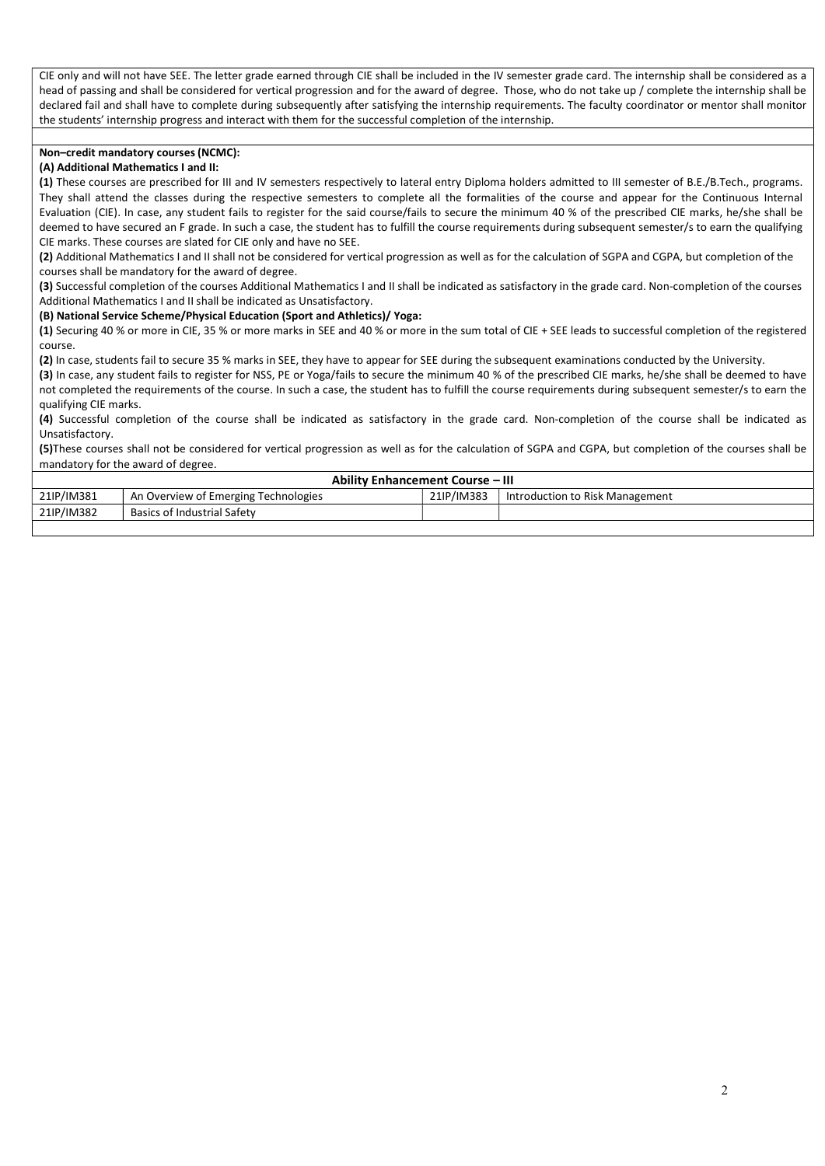CIE only and will not have SEE. The letter grade earned through CIE shall be included in the IV semester grade card. The internship shall be considered as a head of passing and shall be considered for vertical progression and for the award of degree. Those, who do not take up / complete the internship shall be declared fail and shall have to complete during subsequently after satisfying the internship requirements. The faculty coordinator or mentor shall monitor the students' internship progress and interact with them for the successful completion of the internship.

### Non–credit mandatory courses (NCMC):

### (A) Additional Mathematics I and II:

(1) These courses are prescribed for III and IV semesters respectively to lateral entry Diploma holders admitted to III semester of B.E./B.Tech., programs. They shall attend the classes during the respective semesters to complete all the formalities of the course and appear for the Continuous Internal Evaluation (CIE). In case, any student fails to register for the said course/fails to secure the minimum 40 % of the prescribed CIE marks, he/she shall be deemed to have secured an F grade. In such a case, the student has to fulfill the course requirements during subsequent semester/s to earn the qualifying CIE marks. These courses are slated for CIE only and have no SEE.

(2) Additional Mathematics I and II shall not be considered for vertical progression as well as for the calculation of SGPA and CGPA, but completion of the courses shall be mandatory for the award of degree.

(3) Successful completion of the courses Additional Mathematics I and II shall be indicated as satisfactory in the grade card. Non-completion of the courses Additional Mathematics I and II shall be indicated as Unsatisfactory.

#### (B) National Service Scheme/Physical Education (Sport and Athletics)/ Yoga:

(1) Securing 40 % or more in CIE, 35 % or more marks in SEE and 40 % or more in the sum total of CIE + SEE leads to successful completion of the registered course.

(2) In case, students fail to secure 35 % marks in SEE, they have to appear for SEE during the subsequent examinations conducted by the University.

(3) In case, any student fails to register for NSS, PE or Yoga/fails to secure the minimum 40 % of the prescribed CIE marks, he/she shall be deemed to have not completed the requirements of the course. In such a case, the student has to fulfill the course requirements during subsequent semester/s to earn the qualifying CIE marks.

(4) Successful completion of the course shall be indicated as satisfactory in the grade card. Non-completion of the course shall be indicated as Unsatisfactory.

(5)These courses shall not be considered for vertical progression as well as for the calculation of SGPA and CGPA, but completion of the courses shall be mandatory for the award of degree.

|            | <b>Ability Enhancement Course - III</b> |            |                                 |  |  |  |  |  |  |
|------------|-----------------------------------------|------------|---------------------------------|--|--|--|--|--|--|
| 21IP/IM381 | An Overview of Emerging Technologies    | 21IP/IM383 | Introduction to Risk Management |  |  |  |  |  |  |
| 21IP/IM382 | Basics of Industrial Safety             |            |                                 |  |  |  |  |  |  |
|            |                                         |            |                                 |  |  |  |  |  |  |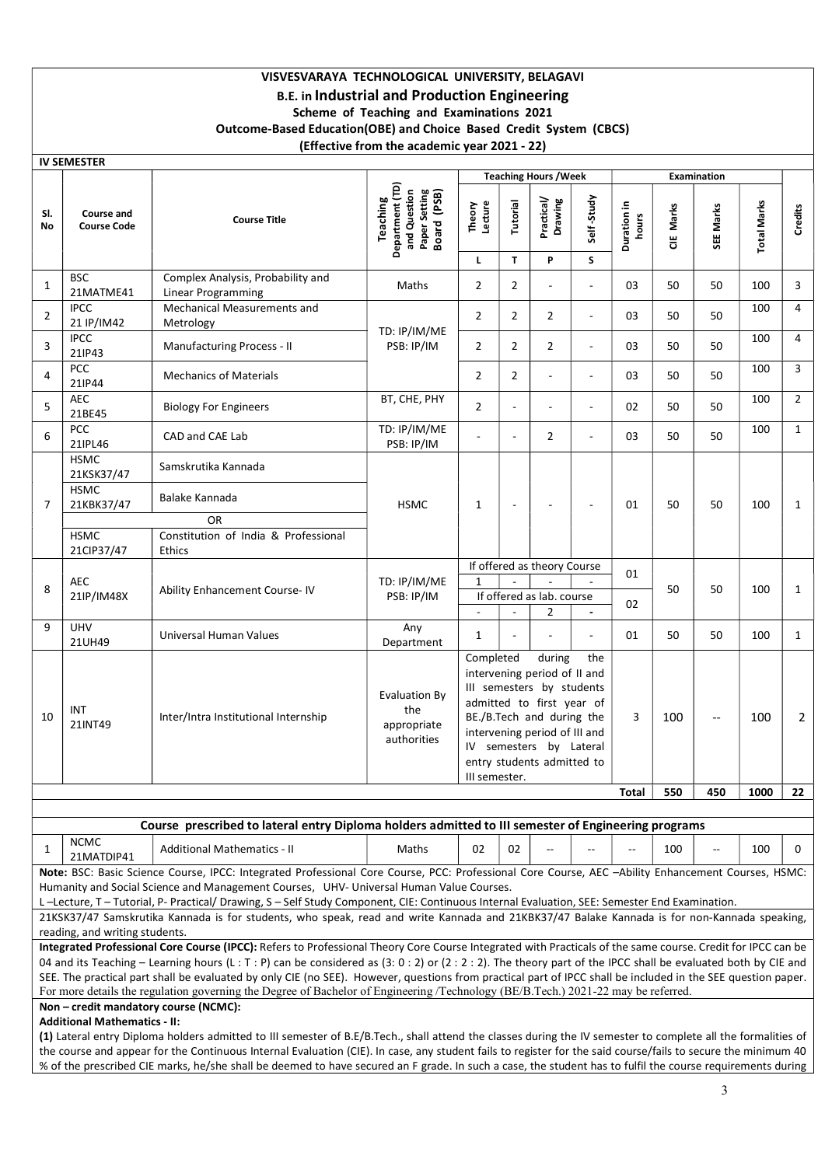## VISVESVARAYA TECHNOLOGICAL UNIVERSITY, BELAGAVI B.E. in Industrial and Production Engineering Scheme of Teaching and Examinations 2021 Outcome-Based Education(OBE) and Choice Based Credit System (CBCS) (Effective from the academic year 2021 - 22)

|                | <b>IV SEMESTER</b>                      |                                                                                                                                                                                                                                                                                                                                                                                                                                                                                                                                                                                                                                                                                                         |                                                                                    |                            |                          |                                                                                                                                                                                                                         |                             |                      |            |                    |                    |                |
|----------------|-----------------------------------------|---------------------------------------------------------------------------------------------------------------------------------------------------------------------------------------------------------------------------------------------------------------------------------------------------------------------------------------------------------------------------------------------------------------------------------------------------------------------------------------------------------------------------------------------------------------------------------------------------------------------------------------------------------------------------------------------------------|------------------------------------------------------------------------------------|----------------------------|--------------------------|-------------------------------------------------------------------------------------------------------------------------------------------------------------------------------------------------------------------------|-----------------------------|----------------------|------------|--------------------|--------------------|----------------|
|                |                                         |                                                                                                                                                                                                                                                                                                                                                                                                                                                                                                                                                                                                                                                                                                         |                                                                                    |                            |                          | <b>Teaching Hours / Week</b>                                                                                                                                                                                            |                             |                      |            | <b>Examination</b> |                    |                |
| SI.<br>No      | <b>Course and</b><br><b>Course Code</b> | <b>Course Title</b>                                                                                                                                                                                                                                                                                                                                                                                                                                                                                                                                                                                                                                                                                     | Department (TD)<br>and Question<br>Paper Setting<br>Board (PSB)<br><b>Teaching</b> | Theory<br>Lecture          | Tutorial                 | Practical/<br>Drawing                                                                                                                                                                                                   | Self-Study                  | Duration in<br>hours | Marks<br>Ξ | SEE Marks          | <b>Total Marks</b> | Credits        |
|                |                                         |                                                                                                                                                                                                                                                                                                                                                                                                                                                                                                                                                                                                                                                                                                         |                                                                                    | L.                         | $\mathbf{T}$             | P                                                                                                                                                                                                                       | S.                          |                      |            |                    |                    |                |
| $\mathbf{1}$   | <b>BSC</b><br>21MATME41                 | Complex Analysis, Probability and<br>Linear Programming                                                                                                                                                                                                                                                                                                                                                                                                                                                                                                                                                                                                                                                 | Maths                                                                              | $\overline{2}$             | $\overline{2}$           |                                                                                                                                                                                                                         | $\sim$                      | 03                   | 50         | 50                 | 100                | 3              |
| $\overline{2}$ | <b>IPCC</b><br>21 IP/IM42               | Mechanical Measurements and<br>Metrology                                                                                                                                                                                                                                                                                                                                                                                                                                                                                                                                                                                                                                                                |                                                                                    | $\overline{2}$             | $\overline{2}$           | $\overline{2}$                                                                                                                                                                                                          | $\sim$                      | 03                   | 50         | 50                 | 100                | $\overline{4}$ |
| 3              | <b>IPCC</b><br>21IP43                   | Manufacturing Process - II                                                                                                                                                                                                                                                                                                                                                                                                                                                                                                                                                                                                                                                                              | TD: IP/IM/ME<br>PSB: IP/IM                                                         | $\overline{2}$             | $\overline{2}$           | $\overline{2}$                                                                                                                                                                                                          | $\overline{\phantom{a}}$    | 03                   | 50         | 50                 | 100                | $\overline{4}$ |
| 4              | PCC<br>21IP44                           | <b>Mechanics of Materials</b>                                                                                                                                                                                                                                                                                                                                                                                                                                                                                                                                                                                                                                                                           |                                                                                    | $\overline{2}$             | $\overline{2}$           |                                                                                                                                                                                                                         | $\sim$                      | 03                   | 50         | 50                 | 100                | 3              |
| 5              | <b>AEC</b><br>21BE45                    | <b>Biology For Engineers</b>                                                                                                                                                                                                                                                                                                                                                                                                                                                                                                                                                                                                                                                                            | BT, CHE, PHY                                                                       | $\overline{2}$             |                          |                                                                                                                                                                                                                         | $\sim$                      | 02                   | 50         | 50                 | 100                | $\overline{2}$ |
| 6              | PCC<br>21IPL46                          | CAD and CAE Lab                                                                                                                                                                                                                                                                                                                                                                                                                                                                                                                                                                                                                                                                                         | TD: IP/IM/ME<br>PSB: IP/IM                                                         |                            | $\overline{\phantom{a}}$ | $\overline{2}$                                                                                                                                                                                                          | $\sim$                      | 03                   | 50         | 50                 | 100                | $\mathbf{1}$   |
|                | <b>HSMC</b><br>21KSK37/47               | Samskrutika Kannada                                                                                                                                                                                                                                                                                                                                                                                                                                                                                                                                                                                                                                                                                     |                                                                                    |                            |                          |                                                                                                                                                                                                                         |                             |                      |            |                    |                    |                |
| $\overline{7}$ | <b>HSMC</b><br>21KBK37/47               | Balake Kannada                                                                                                                                                                                                                                                                                                                                                                                                                                                                                                                                                                                                                                                                                          | <b>HSMC</b>                                                                        | 1                          | $\overline{\phantom{a}}$ |                                                                                                                                                                                                                         | $\overline{\phantom{a}}$    | 01                   | 50         | 50                 | 100                | 1              |
|                |                                         | 0R                                                                                                                                                                                                                                                                                                                                                                                                                                                                                                                                                                                                                                                                                                      |                                                                                    |                            |                          |                                                                                                                                                                                                                         |                             |                      |            |                    |                    |                |
|                | <b>HSMC</b><br>21CIP37/47               | Constitution of India & Professional<br><b>Ethics</b>                                                                                                                                                                                                                                                                                                                                                                                                                                                                                                                                                                                                                                                   |                                                                                    |                            |                          |                                                                                                                                                                                                                         |                             |                      |            |                    |                    |                |
|                |                                         |                                                                                                                                                                                                                                                                                                                                                                                                                                                                                                                                                                                                                                                                                                         |                                                                                    |                            |                          |                                                                                                                                                                                                                         | If offered as theory Course | 01                   |            |                    |                    |                |
| 8              | <b>AEC</b><br>21IP/IM48X                | Ability Enhancement Course- IV                                                                                                                                                                                                                                                                                                                                                                                                                                                                                                                                                                                                                                                                          | TD: IP/IM/ME<br>PSB: IP/IM                                                         | 1                          |                          | If offered as lab. course                                                                                                                                                                                               |                             |                      | 50         | 50                 | 100                | 1              |
|                |                                         |                                                                                                                                                                                                                                                                                                                                                                                                                                                                                                                                                                                                                                                                                                         |                                                                                    |                            |                          | 2                                                                                                                                                                                                                       | $\blacksquare$              | 02                   |            |                    |                    |                |
| 9              | <b>UHV</b><br>21UH49                    | Universal Human Values                                                                                                                                                                                                                                                                                                                                                                                                                                                                                                                                                                                                                                                                                  | Any<br>Department                                                                  | 1                          |                          |                                                                                                                                                                                                                         |                             | 01                   | 50         | 50                 | 100                | 1              |
| 10             | INT<br>21INT49                          | Inter/Intra Institutional Internship                                                                                                                                                                                                                                                                                                                                                                                                                                                                                                                                                                                                                                                                    | <b>Evaluation By</b><br>the<br>appropriate<br>authorities                          | Completed<br>III semester. |                          | during<br>intervening period of II and<br>III semesters by students<br>admitted to first year of<br>BE./B.Tech and during the<br>intervening period of III and<br>IV semesters by Lateral<br>entry students admitted to | the                         | 3                    | 100        | --                 | 100                | 2              |
|                |                                         |                                                                                                                                                                                                                                                                                                                                                                                                                                                                                                                                                                                                                                                                                                         |                                                                                    |                            |                          |                                                                                                                                                                                                                         |                             | Total                | 550        | 450                | 1000               | 22             |
|                |                                         | Course prescribed to lateral entry Diploma holders admitted to III semester of Engineering programs                                                                                                                                                                                                                                                                                                                                                                                                                                                                                                                                                                                                     |                                                                                    |                            |                          |                                                                                                                                                                                                                         |                             |                      |            |                    |                    |                |
| $\mathbf{1}$   | <b>NCMC</b><br>21MATDIP41               | <b>Additional Mathematics - II</b>                                                                                                                                                                                                                                                                                                                                                                                                                                                                                                                                                                                                                                                                      | Maths                                                                              | 02                         | 02                       |                                                                                                                                                                                                                         | $-$                         | $-$                  | 100        | ÷.,                | 100                | 0              |
|                | reading, and writing students.          | Note: BSC: Basic Science Course, IPCC: Integrated Professional Core Course, PCC: Professional Core Course, AEC -Ability Enhancement Courses, HSMC:<br>Humanity and Social Science and Management Courses, UHV- Universal Human Value Courses.<br>L-Lecture, T-Tutorial, P-Practical/Drawing, S-Self Study Component, CIE: Continuous Internal Evaluation, SEE: Semester End Examination.<br>21KSK37/47 Samskrutika Kannada is for students, who speak, read and write Kannada and 21KBK37/47 Balake Kannada is for non-Kannada speaking,<br>Integrated Professional Core Course (IPCC): Refers to Professional Theory Core Course Integrated with Practicals of the same course. Credit for IPCC can be |                                                                                    |                            |                          |                                                                                                                                                                                                                         |                             |                      |            |                    |                    |                |
|                |                                         | 04 and its Teaching - Learning hours (L: T: P) can be considered as (3: 0: 2) or (2: 2: 2). The theory part of the IPCC shall be evaluated both by CIE and<br>SEE. The practical part shall be evaluated by only CIE (no SEE). However, questions from practical part of IPCC shall be included in the SEE question paper.<br>For more details the regulation governing the Degree of Bachelor of Engineering /Technology (BE/B.Tech.) 2021-22 may be referred.<br>Non - credit mandatory course (NCMC):                                                                                                                                                                                                |                                                                                    |                            |                          |                                                                                                                                                                                                                         |                             |                      |            |                    |                    |                |
|                | <b>Additional Mathematics - II:</b>     | (1) Lateral entry Diploma holders admitted to III semester of B.E/B.Tech., shall attend the classes during the IV semester to complete all the formalities of                                                                                                                                                                                                                                                                                                                                                                                                                                                                                                                                           |                                                                                    |                            |                          |                                                                                                                                                                                                                         |                             |                      |            |                    |                    |                |
|                |                                         |                                                                                                                                                                                                                                                                                                                                                                                                                                                                                                                                                                                                                                                                                                         |                                                                                    |                            |                          |                                                                                                                                                                                                                         |                             |                      |            |                    |                    |                |

the course and appear for the Continuous Internal Evaluation (CIE). In case, any student fails to register for the said course/fails to secure the minimum 40 % of the prescribed CIE marks, he/she shall be deemed to have secured an F grade. In such a case, the student has to fulfil the course requirements during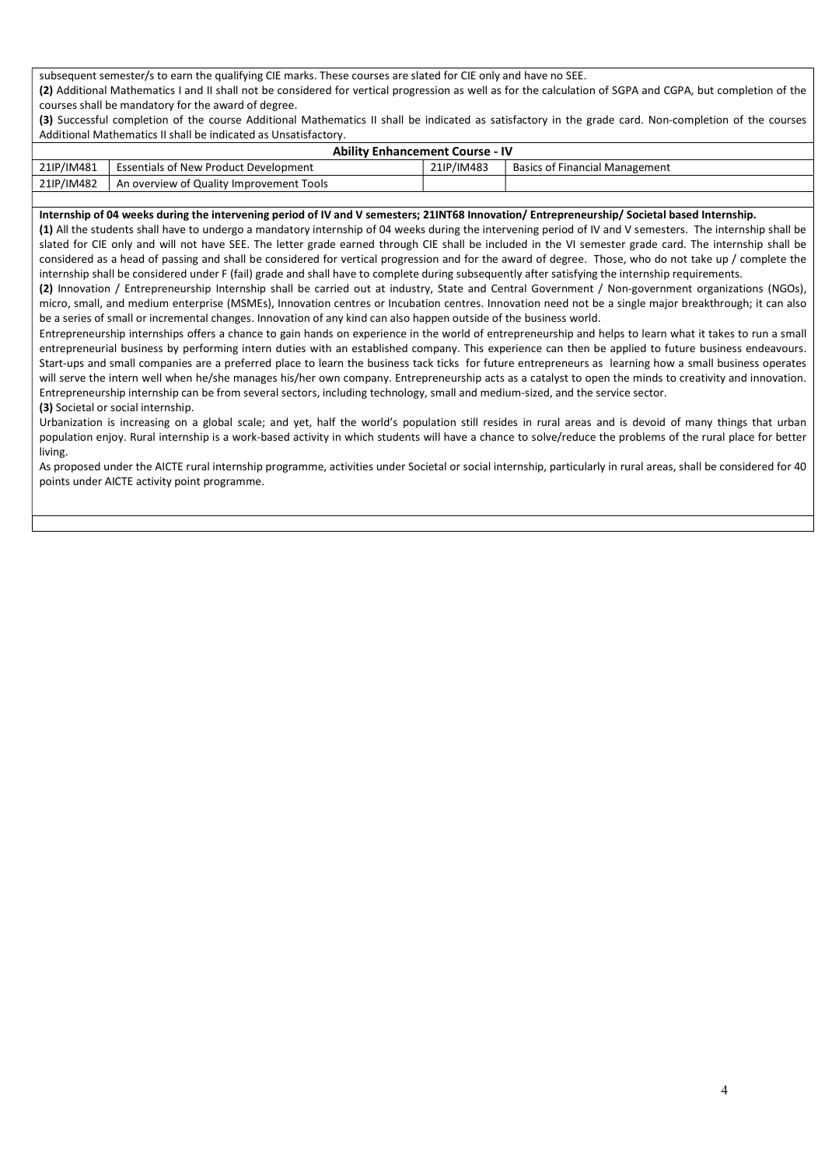subsequent semester/s to earn the qualifying CIE marks. These courses are slated for CIE only and have no SEE. (2) Additional Mathematics I and II shall not be considered for vertical progression as well as for the calculation of SGPA and CGPA, but completion of the courses shall be mandatory for the award of degree.

(3) Successful completion of the course Additional Mathematics II shall be indicated as satisfactory in the grade card. Non-completion of the courses Additional Mathematics II shall be indicated as Unsatisfactory.

|            | <b>Ability Enhancement Course - IV</b>       |            |                                       |
|------------|----------------------------------------------|------------|---------------------------------------|
| 21IP/IM481 | <b>Essentials of New Product Development</b> | 21IP/IM483 | <b>Basics of Financial Management</b> |
| 21IP/IM482 | An overview of Quality Improvement Tools     |            |                                       |

#### Internship of 04 weeks during the intervening period of IV and V semesters; 21INT68 Innovation/ Entrepreneurship/ Societal based Internship.

(1) All the students shall have to undergo a mandatory internship of 04 weeks during the intervening period of IV and V semesters. The internship shall be slated for CIE only and will not have SEE. The letter grade earned through CIE shall be included in the VI semester grade card. The internship shall be considered as a head of passing and shall be considered for vertical progression and for the award of degree. Those, who do not take up / complete the internship shall be considered under F (fail) grade and shall have to complete during subsequently after satisfying the internship requirements.

(2) Innovation / Entrepreneurship Internship shall be carried out at industry, State and Central Government / Non-government organizations (NGOs), micro, small, and medium enterprise (MSMEs), Innovation centres or Incubation centres. Innovation need not be a single major breakthrough; it can also be a series of small or incremental changes. Innovation of any kind can also happen outside of the business world.

Entrepreneurship internships offers a chance to gain hands on experience in the world of entrepreneurship and helps to learn what it takes to run a small entrepreneurial business by performing intern duties with an established company. This experience can then be applied to future business endeavours. Start-ups and small companies are a preferred place to learn the business tack ticks for future entrepreneurs as learning how a small business operates will serve the intern well when he/she manages his/her own company. Entrepreneurship acts as a catalyst to open the minds to creativity and innovation. Entrepreneurship internship can be from several sectors, including technology, small and medium-sized, and the service sector.

### (3) Societal or social internship.

Urbanization is increasing on a global scale; and yet, half the world's population still resides in rural areas and is devoid of many things that urban population enjoy. Rural internship is a work-based activity in which students will have a chance to solve/reduce the problems of the rural place for better living.

As proposed under the AICTE rural internship programme, activities under Societal or social internship, particularly in rural areas, shall be considered for 40 points under AICTE activity point programme.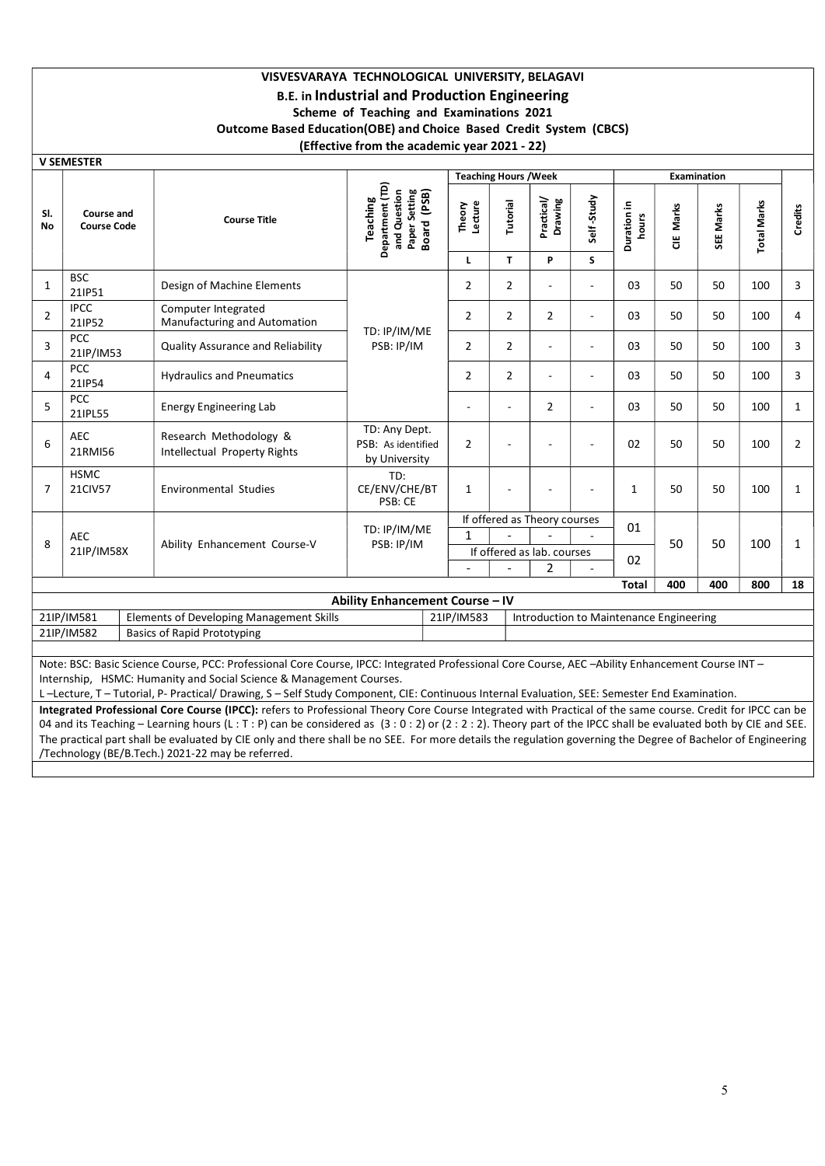## VISVESVARAYA TECHNOLOGICAL UNIVERSITY, BELAGAVI B.E. in Industrial and Production Engineering Scheme of Teaching and Examinations 2021 Outcome Based Education(OBE) and Choice Based Credit System (CBCS) (Effective from the academic year 2021 - 22)

|                                                             | <b>V SEMESTER</b>      |                                                                                                                                                  |                                                                             |                   |                              |                                         |                          |                      |           |             |                    |                |
|-------------------------------------------------------------|------------------------|--------------------------------------------------------------------------------------------------------------------------------------------------|-----------------------------------------------------------------------------|-------------------|------------------------------|-----------------------------------------|--------------------------|----------------------|-----------|-------------|--------------------|----------------|
|                                                             |                        |                                                                                                                                                  |                                                                             |                   | <b>Teaching Hours / Week</b> |                                         |                          |                      |           | Examination |                    |                |
| SI.<br><b>Course and</b><br><b>No</b><br><b>Course Code</b> |                        | <b>Course Title</b>                                                                                                                              | Department (TD)<br>Paper Setting<br>Board (PSB)<br>and Question<br>Teaching | Lecture<br>Theory | Tutorial                     | Practical/<br>Drawing                   | Self-Study               | Duration in<br>hours | CIE Marks | SEE Marks   | <b>Total Marks</b> | Credits        |
|                                                             |                        |                                                                                                                                                  |                                                                             | L                 | $\mathbf{T}$                 | P                                       | S                        |                      |           |             |                    |                |
| $\mathbf{1}$                                                | <b>BSC</b><br>21IP51   | Design of Machine Elements                                                                                                                       |                                                                             | $\overline{2}$    | $\overline{2}$               | $\sim$                                  | $\overline{\phantom{a}}$ | 03                   | 50        | 50          | 100                | 3              |
| $\overline{2}$                                              | <b>IPCC</b><br>21IP52  | Computer Integrated<br>Manufacturing and Automation                                                                                              | TD: IP/IM/ME                                                                | $\overline{2}$    | $\overline{2}$               | $\overline{2}$                          | ÷.                       | 03                   | 50        | 50          | 100                | 4              |
| 3                                                           | PCC<br>21IP/IM53       | Quality Assurance and Reliability                                                                                                                | PSB: IP/IM                                                                  | $\overline{2}$    | $\overline{2}$               |                                         | $\overline{\phantom{a}}$ | 03                   | 50        | 50          | 100                | 3              |
| 4                                                           | <b>PCC</b><br>21IP54   | <b>Hydraulics and Pneumatics</b>                                                                                                                 |                                                                             | $\overline{2}$    | $\overline{2}$               | $\sim$                                  | $\sim$                   | 03                   | 50        | 50          | 100                | 3              |
| 5                                                           | <b>PCC</b><br>21IPL55  | <b>Energy Engineering Lab</b>                                                                                                                    |                                                                             | ÷                 |                              | $\overline{2}$                          | ÷                        | 03                   | 50        | 50          | 100                | 1              |
| 6                                                           | <b>AEC</b><br>21RMI56  | Research Methodology &<br>Intellectual Property Rights                                                                                           | TD: Any Dept.<br>PSB: As identified<br>by University                        | $\overline{2}$    |                              |                                         | $\overline{\phantom{a}}$ | 02                   | 50        | 50          | 100                | $\overline{2}$ |
| $\overline{7}$                                              | <b>HSMC</b><br>21CIV57 | <b>Environmental Studies</b>                                                                                                                     | TD:<br>CE/ENV/CHE/BT<br>PSB: CE                                             | $\mathbf{1}$      |                              |                                         | ٠                        | $\mathbf{1}$         | 50        | 50          | 100                | $\mathbf{1}$   |
|                                                             |                        |                                                                                                                                                  |                                                                             |                   |                              | If offered as Theory courses            |                          | 01                   |           |             |                    |                |
| 8                                                           | <b>AEC</b>             | Ability Enhancement Course-V                                                                                                                     | TD: IP/IM/ME<br>PSB: IP/IM                                                  | $\mathbf{1}$      |                              |                                         |                          |                      | 50        | 50          | 100                | 1              |
|                                                             | 21IP/IM58X             |                                                                                                                                                  |                                                                             |                   |                              | If offered as lab. courses              |                          | 02                   |           |             |                    |                |
|                                                             |                        |                                                                                                                                                  |                                                                             |                   |                              | 2                                       |                          |                      |           |             |                    |                |
|                                                             |                        |                                                                                                                                                  |                                                                             |                   |                              |                                         |                          | <b>Total</b>         | 400       | 400         | 800                | 18             |
|                                                             | 21IP/IM581             | <b>Elements of Developing Management Skills</b>                                                                                                  | Ability Enhancement Course - IV                                             | 21IP/IM583        |                              | Introduction to Maintenance Engineering |                          |                      |           |             |                    |                |
|                                                             | 21IP/IM582             | <b>Basics of Rapid Prototyping</b>                                                                                                               |                                                                             |                   |                              |                                         |                          |                      |           |             |                    |                |
|                                                             |                        |                                                                                                                                                  |                                                                             |                   |                              |                                         |                          |                      |           |             |                    |                |
|                                                             |                        | Note: BSC: Basic Science Course, PCC: Professional Core Course, IPCC: Integrated Professional Core Course, AEC -Ability Enhancement Course INT - |                                                                             |                   |                              |                                         |                          |                      |           |             |                    |                |
|                                                             |                        | lategrable UCMC University and Carly Crisis & Menagement Crimers                                                                                 |                                                                             |                   |                              |                                         |                          |                      |           |             |                    |                |

Internship, HSMC: Humanity and Social Science & Management Courses.

L –Lecture, T – Tutorial, P- Practical/ Drawing, S – Self Study Component, CIE: Continuous Internal Evaluation, SEE: Semester End Examination.

Integrated Professional Core Course (IPCC): refers to Professional Theory Core Course Integrated with Practical of the same course. Credit for IPCC can be 04 and its Teaching – Learning hours (L : T : P) can be considered as (3 : 0 : 2) or (2 : 2 : 2). Theory part of the IPCC shall be evaluated both by CIE and SEE. The practical part shall be evaluated by CIE only and there shall be no SEE. For more details the regulation governing the Degree of Bachelor of Engineering /Technology (BE/B.Tech.) 2021-22 may be referred.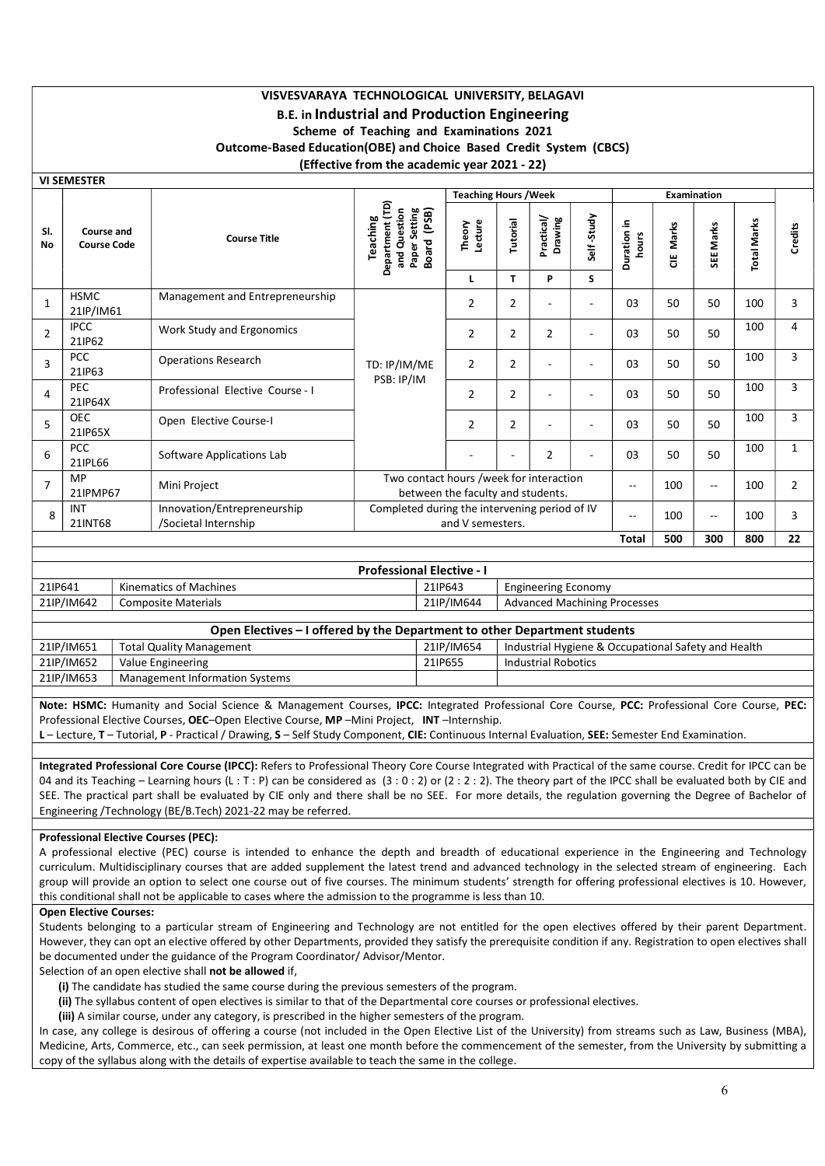# VISVESVARAYA TECHNOLOGICAL UNIVERSITY, BELAGAVI B.E. in Industrial and Production Engineering Scheme of Teaching and Examinations 2021 Outcome-Based Education(OBE) and Choice Based Credit System (CBCS) (Effective from the academic year 2021 - 22)

VI SEMESTER

|                  |                                  |                                                     |                                                                                      | <b>Teaching Hours / Week</b>                                                 |                |                       |                          |                      |            | Examination              |                    |                |
|------------------|----------------------------------|-----------------------------------------------------|--------------------------------------------------------------------------------------|------------------------------------------------------------------------------|----------------|-----------------------|--------------------------|----------------------|------------|--------------------------|--------------------|----------------|
| SI.<br><b>No</b> | Course and<br><b>Course Code</b> | <b>Course Title</b>                                 | Department (TD)<br>Setting<br>I (PSB)<br>and Question<br>Teaching<br>Board<br>Paper: | Theory<br>Lecture                                                            | Tutorial       | Practical/<br>Drawing | Self-Study               | Duration in<br>hours | Marks<br>쁭 | Marks<br><b>SEE</b>      | <b>Total Marks</b> | <b>Credits</b> |
|                  |                                  |                                                     |                                                                                      | L                                                                            | T              | P                     | S                        |                      |            |                          |                    |                |
| $\mathbf{1}$     | HSMC<br>21IP/IM61                | Management and Entrepreneurship                     |                                                                                      | 2                                                                            | $\overline{2}$ |                       | $\overline{\phantom{a}}$ | 03                   | 50         | 50                       | 100                | 3              |
| $\overline{2}$   | <b>IPCC</b><br>21IP62            | Work Study and Ergonomics                           |                                                                                      | $\overline{2}$                                                               | $\overline{2}$ | 2                     | $\overline{\phantom{a}}$ | 03                   | 50         | 50                       | 100                | 4              |
| $\overline{3}$   | <b>PCC</b><br>21IP63             | <b>Operations Research</b>                          | TD: IP/IM/ME                                                                         | $\overline{2}$                                                               | $\overline{2}$ |                       | $\overline{\phantom{a}}$ | 03                   | 50         | 50                       | 100                | 3              |
| 4                | <b>PEC</b><br>21IP64X            | Professional Elective Course - I                    | PSB: IP/IM                                                                           | 2                                                                            | $\overline{2}$ |                       | $\overline{\phantom{a}}$ | 03                   | 50         | 50                       | 100                | 3              |
| 5                | <b>OEC</b><br>21IP65X            | Open Elective Course-I                              |                                                                                      | $\overline{2}$                                                               | 2              |                       | $\overline{\phantom{a}}$ | 03                   | 50         | 50                       | 100                | 3              |
| 6                | <b>PCC</b><br>21IPL66            | Software Applications Lab                           |                                                                                      |                                                                              |                | 2                     |                          | 03                   | 50         | 50                       | 100                | $\mathbf{1}$   |
| $\overline{7}$   | <b>MP</b><br>21IPMP67            | Mini Project                                        |                                                                                      | Two contact hours /week for interaction<br>between the faculty and students. |                |                       |                          |                      |            | $\overline{\phantom{a}}$ | 100                | $\overline{2}$ |
| 8                | INT<br>21INT68                   | Innovation/Entrepreneurship<br>/Societal Internship |                                                                                      | Completed during the intervening period of IV<br>and V semesters.            |                |                       |                          |                      |            | $\overline{\phantom{a}}$ | 100                | 3              |
|                  |                                  |                                                     |                                                                                      |                                                                              |                |                       |                          | Total                | 500        | 300                      | 800                | 22             |

| <b>Professional Elective - I</b> |                        |            |                                     |  |  |  |  |  |  |
|----------------------------------|------------------------|------------|-------------------------------------|--|--|--|--|--|--|
| 21IP641                          | Kinematics of Machines | 21IP643    | <b>Engineering Economy</b>          |  |  |  |  |  |  |
| 21IP/IM642                       | Composite Materials    | 21IP/IM644 | <b>Advanced Machining Processes</b> |  |  |  |  |  |  |
|                                  |                        |            |                                     |  |  |  |  |  |  |

|            | Open Electives – I offered by the Department to other Department students |            |                                                     |
|------------|---------------------------------------------------------------------------|------------|-----------------------------------------------------|
| 21IP/IM651 | <b>Total Quality Management</b>                                           | 21IP/IM654 | Industrial Hygiene & Occupational Safety and Health |
| 21IP/IM652 | Value Engineering                                                         | 21IP655    | Industrial Robotics                                 |
| 21IP/IM653 | Management Information Systems                                            |            |                                                     |
|            |                                                                           |            |                                                     |

Note: HSMC: Humanity and Social Science & Management Courses, IPCC: Integrated Professional Core Course, PCC: Professional Core Course, PEC: Professional Elective Courses, OEC-Open Elective Course, MP -Mini Project, INT -Internship.

L - Lecture, T - Tutorial, P - Practical / Drawing, S - Self Study Component, CIE: Continuous Internal Evaluation, SEE: Semester End Examination.

Integrated Professional Core Course (IPCC): Refers to Professional Theory Core Course Integrated with Practical of the same course. Credit for IPCC can be 04 and its Teaching – Learning hours (L : T : P) can be considered as  $(3:0:2)$  or  $(2:2:2)$ . The theory part of the IPCC shall be evaluated both by CIE and SEE. The practical part shall be evaluated by CIE only and there shall be no SEE. For more details, the regulation governing the Degree of Bachelor of Engineering /Technology (BE/B.Tech) 2021-22 may be referred.

### Professional Elective Courses (PEC):

A professional elective (PEC) course is intended to enhance the depth and breadth of educational experience in the Engineering and Technology curriculum. Multidisciplinary courses that are added supplement the latest trend and advanced technology in the selected stream of engineering. Each group will provide an option to select one course out of five courses. The minimum students' strength for offering professional electives is 10. However, this conditional shall not be applicable to cases where the admission to the programme is less than 10.

#### Open Elective Courses:

Students belonging to a particular stream of Engineering and Technology are not entitled for the open electives offered by their parent Department. However, they can opt an elective offered by other Departments, provided they satisfy the prerequisite condition if any. Registration to open electives shall be documented under the guidance of the Program Coordinator/ Advisor/Mentor.

Selection of an open elective shall not be allowed if,

- (i) The candidate has studied the same course during the previous semesters of the program.
- (ii) The syllabus content of open electives is similar to that of the Departmental core courses or professional electives.
- (iii) A similar course, under any category, is prescribed in the higher semesters of the program.

In case, any college is desirous of offering a course (not included in the Open Elective List of the University) from streams such as Law, Business (MBA), Medicine, Arts, Commerce, etc., can seek permission, at least one month before the commencement of the semester, from the University by submitting a copy of the syllabus along with the details of expertise available to teach the same in the college.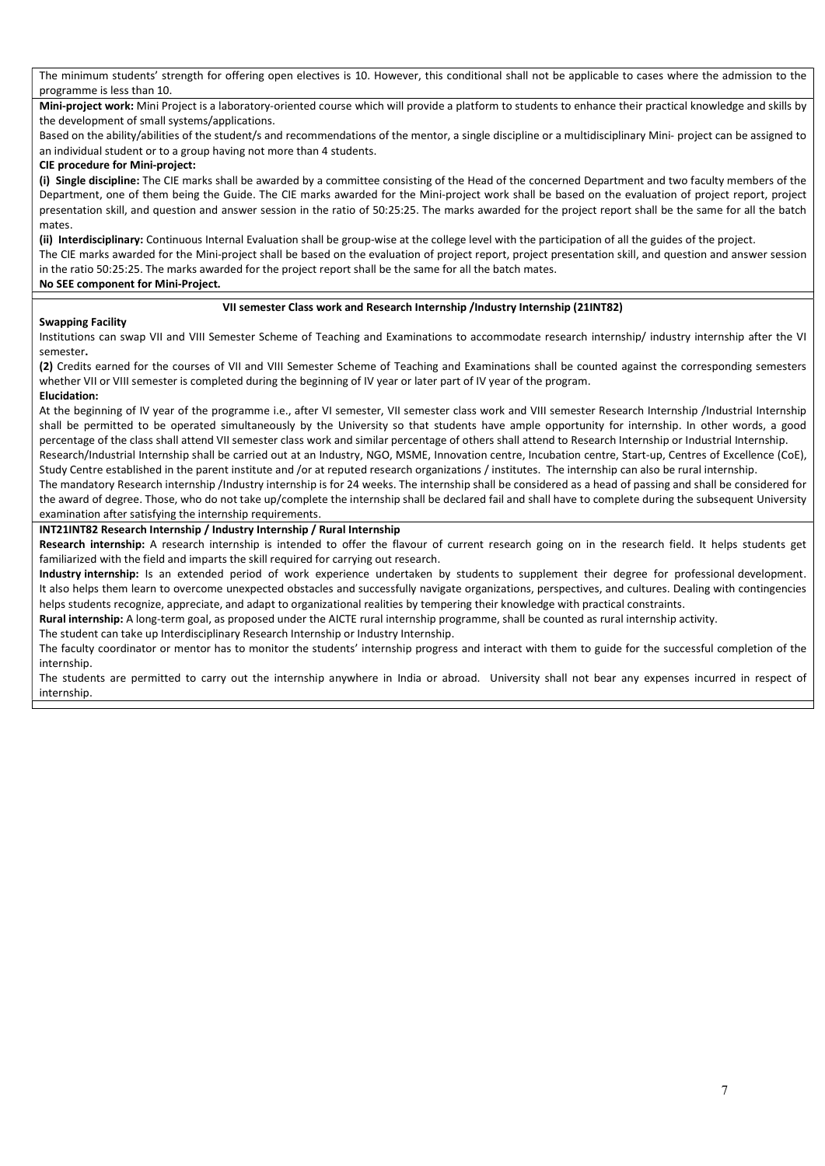The minimum students' strength for offering open electives is 10. However, this conditional shall not be applicable to cases where the admission to the programme is less than 10.

Mini-project work: Mini Project is a laboratory-oriented course which will provide a platform to students to enhance their practical knowledge and skills by the development of small systems/applications.

Based on the ability/abilities of the student/s and recommendations of the mentor, a single discipline or a multidisciplinary Mini- project can be assigned to an individual student or to a group having not more than 4 students.

#### CIE procedure for Mini-project:

(i) Single discipline: The CIE marks shall be awarded by a committee consisting of the Head of the concerned Department and two faculty members of the Department, one of them being the Guide. The CIE marks awarded for the Mini-project work shall be based on the evaluation of project report, project presentation skill, and question and answer session in the ratio of 50:25:25. The marks awarded for the project report shall be the same for all the batch mates.

(ii) Interdisciplinary: Continuous Internal Evaluation shall be group-wise at the college level with the participation of all the guides of the project.

The CIE marks awarded for the Mini-project shall be based on the evaluation of project report, project presentation skill, and question and answer session in the ratio 50:25:25. The marks awarded for the project report shall be the same for all the batch mates.

#### No SEE component for Mini-Project.

### VII semester Class work and Research Internship /Industry Internship (21INT82)

#### Swapping Facility

Institutions can swap VII and VIII Semester Scheme of Teaching and Examinations to accommodate research internship/ industry internship after the VI semester.

(2) Credits earned for the courses of VII and VIII Semester Scheme of Teaching and Examinations shall be counted against the corresponding semesters whether VII or VIII semester is completed during the beginning of IV year or later part of IV year of the program. Elucidation:

At the beginning of IV year of the programme i.e., after VI semester, VII semester class work and VIII semester Research Internship /Industrial Internship shall be permitted to be operated simultaneously by the University so that students have ample opportunity for internship. In other words, a good percentage of the class shall attend VII semester class work and similar percentage of others shall attend to Research Internship or Industrial Internship.

Research/Industrial Internship shall be carried out at an Industry, NGO, MSME, Innovation centre, Incubation centre, Start-up, Centres of Excellence (CoE), Study Centre established in the parent institute and /or at reputed research organizations / institutes. The internship can also be rural internship.

The mandatory Research internship /Industry internship is for 24 weeks. The internship shall be considered as a head of passing and shall be considered for the award of degree. Those, who do not take up/complete the internship shall be declared fail and shall have to complete during the subsequent University examination after satisfying the internship requirements.

#### INT21INT82 Research Internship / Industry Internship / Rural Internship

Research internship: A research internship is intended to offer the flavour of current research going on in the research field. It helps students get familiarized with the field and imparts the skill required for carrying out research.

Industry internship: Is an extended period of work experience undertaken by students to supplement their degree for professional development. It also helps them learn to overcome unexpected obstacles and successfully navigate organizations, perspectives, and cultures. Dealing with contingencies helps students recognize, appreciate, and adapt to organizational realities by tempering their knowledge with practical constraints.

Rural internship: A long-term goal, as proposed under the AICTE rural internship programme, shall be counted as rural internship activity.

The student can take up Interdisciplinary Research Internship or Industry Internship.

The faculty coordinator or mentor has to monitor the students' internship progress and interact with them to guide for the successful completion of the internship.

The students are permitted to carry out the internship anywhere in India or abroad. University shall not bear any expenses incurred in respect of internship.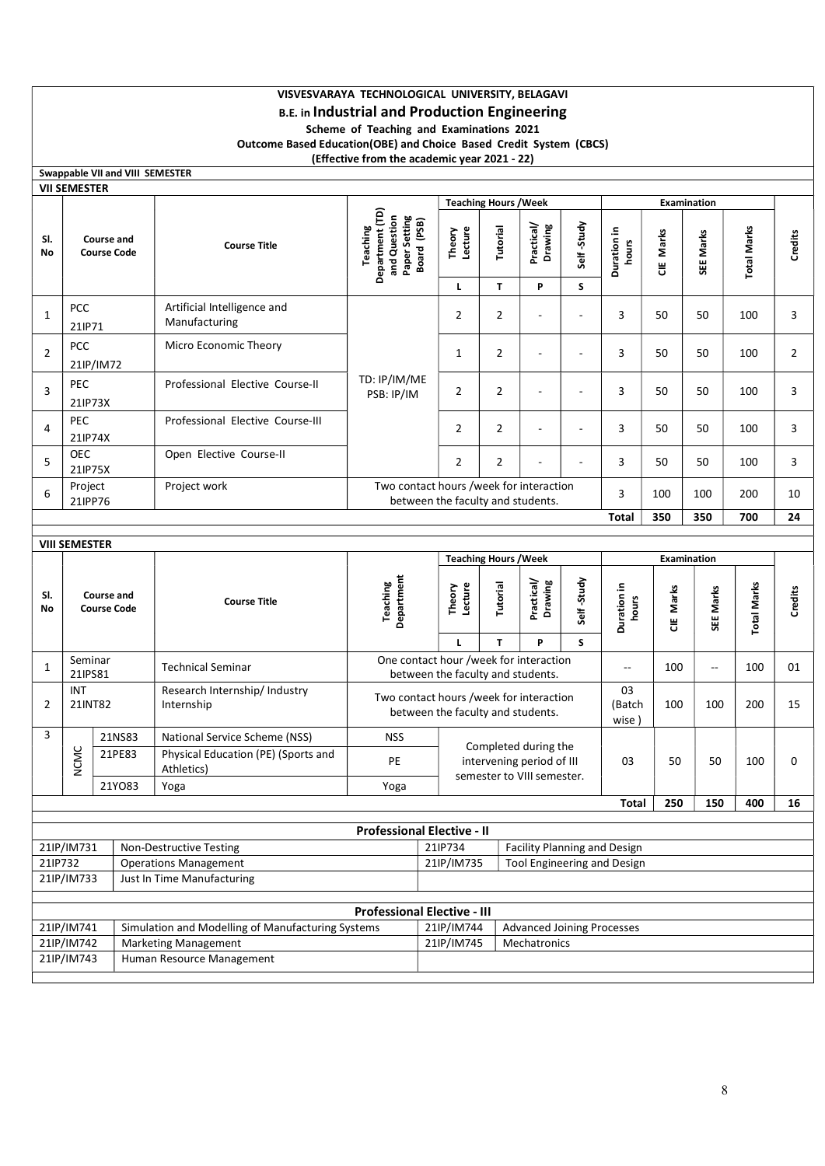## VISVESVARAYA TECHNOLOGICAL UNIVERSITY, BELAGAVI B.E. in Industrial and Production Engineering Scheme of Teaching and Examinations 2021

Outcome Based Education(OBE) and Choice Based Credit System (CBCS)

(Effective from the academic year 2021 - 22)

|                                           |                                                         | Swappable VII and VIII SEMESTER         |                                                            |                                                                              |                                                                              |                              |                                                                                 |                      |                                    |           |                          |                    |                |   |
|-------------------------------------------|---------------------------------------------------------|-----------------------------------------|------------------------------------------------------------|------------------------------------------------------------------------------|------------------------------------------------------------------------------|------------------------------|---------------------------------------------------------------------------------|----------------------|------------------------------------|-----------|--------------------------|--------------------|----------------|---|
|                                           | VII SEMESTER                                            |                                         |                                                            |                                                                              |                                                                              | <b>Teaching Hours / Week</b> |                                                                                 |                      |                                    |           | <b>Examination</b>       |                    |                |   |
| SI.<br>No                                 |                                                         | <b>Course and</b><br><b>Course Code</b> | <b>Course Title</b>                                        | Department (TD)<br>Paper Setting<br>and Question<br>Board (PSB)<br>Teaching  | Lecture<br>Theory                                                            | Tutorial                     | Practical/<br>Drawing                                                           | Self-Study           | Duration in<br>hours               | CIE Marks | SEE Marks                | <b>Total Marks</b> | Credits        |   |
|                                           |                                                         |                                         |                                                            |                                                                              | L                                                                            | T                            | P                                                                               | S                    |                                    |           |                          |                    |                |   |
| 1                                         | PCC<br>21IP71                                           |                                         | Artificial Intelligence and<br>Manufacturing               |                                                                              | $\overline{2}$                                                               | $\overline{2}$               | ÷,                                                                              |                      | 3                                  | 50        | 50                       | 100                | 3              |   |
| $\overline{2}$                            | <b>PCC</b><br>21IP/IM72                                 |                                         | Micro Economic Theory                                      | TD: IP/IM/ME<br>PSB: IP/IM                                                   | $\mathbf{1}$                                                                 | $\overline{2}$               | ä,                                                                              | ÷,                   | 3                                  | 50        | 50                       | 100                | $\overline{2}$ |   |
| 3                                         | PEC<br>21IP73X                                          |                                         | Professional Elective Course-II                            |                                                                              |                                                                              | $\overline{2}$               | $\overline{2}$                                                                  | ÷,                   |                                    | 3         | 50                       | 50                 | 100            | 3 |
| 4                                         | <b>PEC</b><br>21IP74X                                   |                                         | Professional Elective Course-III                           |                                                                              | 2                                                                            | $\overline{2}$               | ÷,                                                                              | $\overline{a}$       | 3                                  | 50        | 50                       | 100                | 3              |   |
| 5                                         | <b>OEC</b><br>21IP75X                                   |                                         | Open Elective Course-II                                    |                                                                              | $\overline{2}$                                                               | $\overline{2}$               |                                                                                 |                      | 3                                  | 50        | 50                       | 100                | 3              |   |
| 6                                         | Project<br>21IPP76                                      |                                         | Project work                                               | Two contact hours /week for interaction<br>between the faculty and students. |                                                                              |                              |                                                                                 |                      | 3                                  | 100       | 100                      | 200                | 10             |   |
|                                           |                                                         |                                         |                                                            |                                                                              |                                                                              |                              |                                                                                 |                      | <b>Total</b>                       | 350       | 350                      | 700                | 24             |   |
|                                           | <b>VIII SEMESTER</b>                                    |                                         |                                                            |                                                                              |                                                                              |                              |                                                                                 |                      |                                    |           |                          |                    |                |   |
|                                           |                                                         |                                         |                                                            |                                                                              |                                                                              | <b>Teaching Hours / Week</b> |                                                                                 |                      | Examination                        |           |                          |                    |                |   |
| SI.<br><b>No</b>                          | Course and<br><b>Course Title</b><br><b>Course Code</b> |                                         | Department<br><b>Teaching</b>                              | Lecture<br>Theory                                                            | Tutorial                                                                     | Practical/<br>Drawing        | Self-Study                                                                      | Duration in<br>hours | CIE Marks                          | SEE Marks | <b>Total Marks</b>       | Credits            |                |   |
|                                           |                                                         |                                         |                                                            |                                                                              | L<br>One contact hour /week for interaction                                  | T                            | P                                                                               | S                    |                                    |           |                          |                    |                |   |
| 1                                         | Seminar<br>21IPS81                                      |                                         | <b>Technical Seminar</b>                                   |                                                                              | between the faculty and students.                                            |                              |                                                                                 |                      | 100<br>$-$                         |           | $\overline{\phantom{a}}$ | 100                | 01             |   |
| 2                                         | INT<br>21INT82                                          |                                         | Research Internship/ Industry<br>Internship                |                                                                              | Two contact hours /week for interaction<br>between the faculty and students. |                              |                                                                                 |                      | 03<br>(Batch<br>wise)              | 100       | 100                      | 200                | 15             |   |
| 3                                         |                                                         | 21NS83                                  | National Service Scheme (NSS)                              | <b>NSS</b>                                                                   |                                                                              |                              |                                                                                 |                      |                                    |           |                          |                    |                |   |
|                                           | <b>NCMC</b>                                             | 21PE83                                  | Physical Education (PE) (Sports and<br>Athletics)          | PE                                                                           |                                                                              |                              | Completed during the<br>intervening period of III<br>semester to VIII semester. |                      |                                    | 50        | 50                       | 100                | 0              |   |
|                                           |                                                         | 21YO83                                  | Yoga                                                       | Yoga                                                                         |                                                                              |                              |                                                                                 |                      |                                    |           |                          |                    |                |   |
|                                           |                                                         |                                         |                                                            |                                                                              |                                                                              |                              |                                                                                 |                      | <b>Total</b>                       | 250       | 150                      | 400                | 16             |   |
|                                           |                                                         |                                         |                                                            | <b>Professional Elective - II</b>                                            |                                                                              |                              |                                                                                 |                      |                                    |           |                          |                    |                |   |
|                                           | 21IP/IM731                                              |                                         | Non-Destructive Testing                                    |                                                                              | 21IP734                                                                      |                              |                                                                                 |                      | Facility Planning and Design       |           |                          |                    |                |   |
| 21IP732                                   | 21IP/IM733                                              |                                         | <b>Operations Management</b><br>Just In Time Manufacturing |                                                                              | 21IP/IM735                                                                   |                              |                                                                                 |                      | <b>Tool Engineering and Design</b> |           |                          |                    |                |   |
|                                           |                                                         |                                         |                                                            |                                                                              |                                                                              |                              |                                                                                 |                      |                                    |           |                          |                    |                |   |
|                                           |                                                         |                                         |                                                            | <b>Professional Elective - III</b>                                           |                                                                              |                              |                                                                                 |                      |                                    |           |                          |                    |                |   |
|                                           | 21IP/IM741                                              |                                         | Simulation and Modelling of Manufacturing Systems          |                                                                              | 21IP/IM744                                                                   |                              | <b>Advanced Joining Processes</b>                                               |                      |                                    |           |                          |                    |                |   |
| 21IP/IM742<br><b>Marketing Management</b> |                                                         |                                         |                                                            |                                                                              | 21IP/IM745                                                                   |                              | Mechatronics                                                                    |                      |                                    |           |                          |                    |                |   |
|                                           | 21IP/IM743                                              |                                         | Human Resource Management                                  |                                                                              |                                                                              |                              |                                                                                 |                      |                                    |           |                          |                    |                |   |